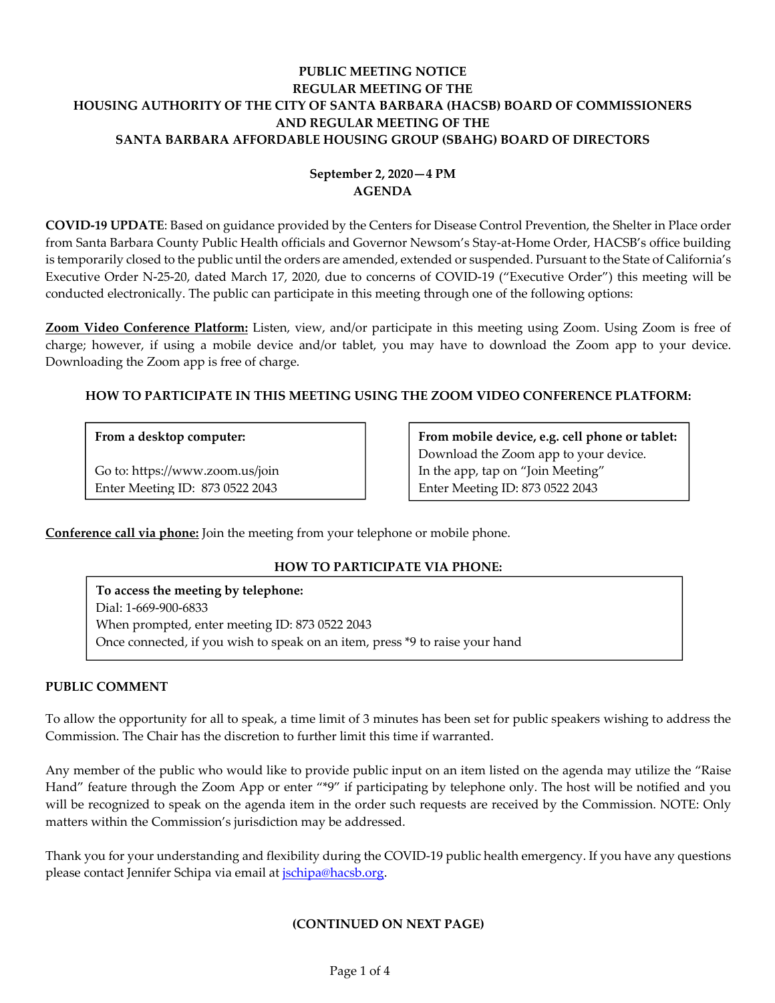# **PUBLIC MEETING NOTICE REGULAR MEETING OF THE HOUSING AUTHORITY OF THE CITY OF SANTA BARBARA (HACSB) BOARD OF COMMISSIONERS AND REGULAR MEETING OF THE SANTA BARBARA AFFORDABLE HOUSING GROUP (SBAHG) BOARD OF DIRECTORS**

# **September 2, 2020—4 PM AGENDA**

**COVID‐19 UPDATE**: Based on guidance provided by the Centers for Disease Control Prevention, the Shelter in Place order from Santa Barbara County Public Health officials and Governor Newsom's Stay-at-Home Order, HACSB's office building is temporarily closed to the public until the orders are amended, extended or suspended. Pursuant to the State of California's Executive Order N‐25‐20, dated March 17, 2020, due to concerns of COVID‐19 ("Executive Order") this meeting will be conducted electronically. The public can participate in this meeting through one of the following options:

**Zoom Video Conference Platform:** Listen, view, and/or participate in this meeting using Zoom. Using Zoom is free of charge; however, if using a mobile device and/or tablet, you may have to download the Zoom app to your device. Downloading the Zoom app is free of charge.

# **HOW TO PARTICIPATE IN THIS MEETING USING THE ZOOM VIDEO CONFERENCE PLATFORM:**

## **From a desktop computer:**

Go to: https://www.zoom.us/join Enter Meeting ID: 873 0522 2043

**From mobile device, e.g. cell phone or tablet:** Download the Zoom app to your device. In the app, tap on "Join Meeting" Enter Meeting ID: 873 0522 2043

**Conference call via phone:** Join the meeting from your telephone or mobile phone.

# **HOW TO PARTICIPATE VIA PHONE:**

**To access the meeting by telephone:** Dial: 1‐669‐900‐6833 When prompted, enter meeting ID: 873 0522 2043 Once connected, if you wish to speak on an item, press \*9 to raise your hand

## **PUBLIC COMMENT**

To allow the opportunity for all to speak, a time limit of 3 minutes has been set for public speakers wishing to address the Commission. The Chair has the discretion to further limit this time if warranted.

Any member of the public who would like to provide public input on an item listed on the agenda may utilize the "Raise Hand" feature through the Zoom App or enter "\*9" if participating by telephone only. The host will be notified and you will be recognized to speak on the agenda item in the order such requests are received by the Commission. NOTE: Only matters within the Commission's jurisdiction may be addressed.

Thank you for your understanding and flexibility during the COVID‐19 public health emergency. If you have any questions please contact Jennifer Schipa via email at *jschipa@hacsb.org*.

## **(CONTINUED ON NEXT PAGE)**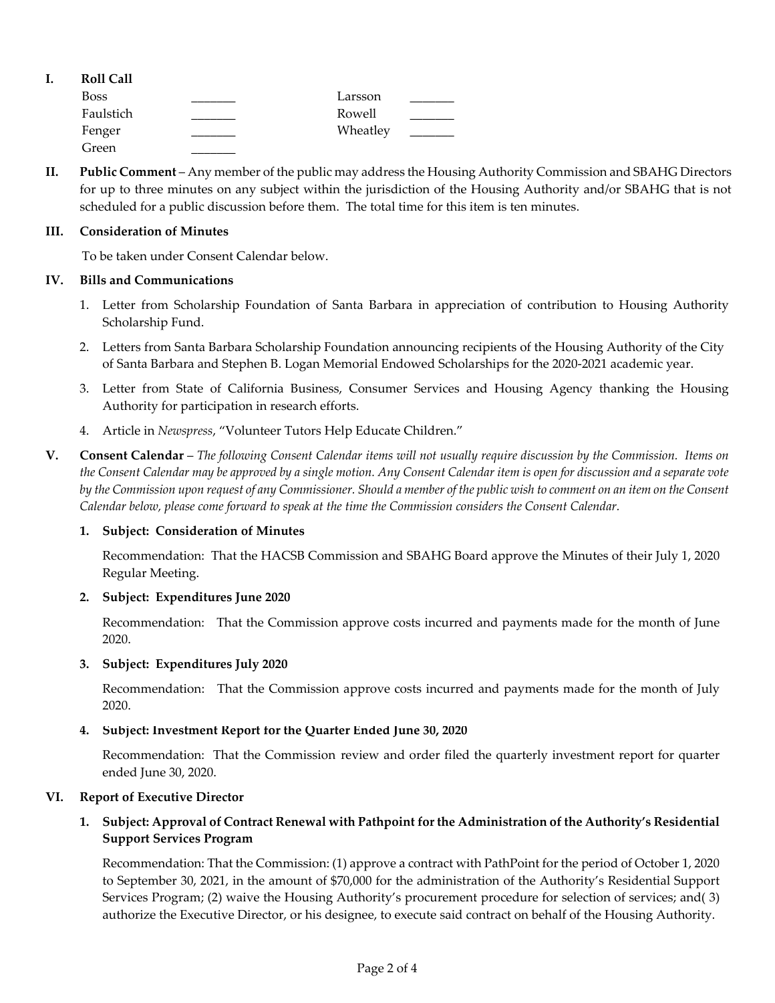| ı. | <b>Roll Call</b> |          |  |
|----|------------------|----------|--|
|    | <b>Boss</b>      | Larsson  |  |
|    | Faulstich        | Rowell   |  |
|    | Fenger           | Wheatley |  |
|    | Green            |          |  |

**II. Public Comment** – Any member of the public may address the Housing Authority Commission and SBAHG Directors for up to three minutes on any subject within the jurisdiction of the Housing Authority and/or SBAHG that is not scheduled for a public discussion before them. The total time for this item is ten minutes.

#### **III. Consideration of Minutes**

To be taken under Consent Calendar below.

#### **IV. Bills and Communications**

- 1. Letter from Scholarship Foundation of Santa Barbara in [appreciation](https://hacsb.org/download/meetings_2020/items/09_september/Item-IV.1.pdf) of contribution to Housing Authority Scholarship Fund.
- 2. Letters from Santa Barbara Scholarship Foundation announcing recipients of the Housing Authority of the City of Santa Barbara and Stephen B. Logan Memorial Endowed [Scholarships](https://hacsb.org/download/meetings_2020/items/09_september/Item-IV.2.pdf) for the 2020‐2021 academic year.
- 3. Letter from State of California Business, Consumer Services and Housing Agency thanking the Housing Authority for [participation](https://hacsb.org/download/meetings_2020/items/09_september/Item-IV.3.pdf) in research efforts.
- 4. Article in *Newspress*, ["Volunteer](https://hacsb.org/download/meetings_2020/items/09_september/Item-IV.4.pdf) Tutors Help Educate Children."
- V. Consent Calendar The following Consent Calendar items will not usually require discussion by the Commission. Items on the Consent Calendar may be approved by a single motion. Any Consent Calendar item is open for discussion and a separate vote by the Commission upon request of any Commissioner. Should a member of the public wish to comment on an item on the Consent *Calendar below, please come forward to speak at the time the Commission considers the Consent Calendar.*

## **1. Subject: Consideration of Minutes**

[Recommendation:](https://hacsb.org/download/meetings_2020/items/09_september/Item-V.1.pdf) That the HACSB Commission and SBAHG Board approve the Minutes of their July 1, 2020 Regular Meeting.

## **2. Subject: Expenditures June 2020**

[Recommendation:](https://hacsb.org/download/meetings_2020/items/09_september/Item-V.2.pdf) That the Commission approve costs incurred and payments made for the month of June 2020.

## **3. Subject: Expenditures July 2020**

[Recommendation:](https://hacsb.org/download/meetings_2020/items/09_september/Item-V.3.pdf) That the Commission approve costs incurred and payments made for the month of July 2020.

## **4. Subject: Investment Report for the Quarter Ended June 30, 2020**

[Recommendation:](https://hacsb.org/download/meetings_2020/items/09_september/Item-V.4.pdf) That the Commission review and order filed the quarterly investment report for quarter ended June 30, 2020.

## **VI. Report of Executive Director**

## **1. Subject: Approval of Contract Renewal with Pathpoint for the Administration of the Authority's Residential Support Services Program**

[Recommendation:](https://hacsb.org/download/meetings_2020/items/09_september/Item-VI.1.pdf) That the Commission: (1) approve a contract with PathPoint for the period of October 1, 2020 to September 30, 2021, in the amount of \$70,000 for the administration of the Authority's Residential Support Services Program; (2) waive the Housing Authority's procurement procedure for selection of services; and( 3) authorize the Executive Director, or his designee, to execute said contract on behalf of the Housing Authority.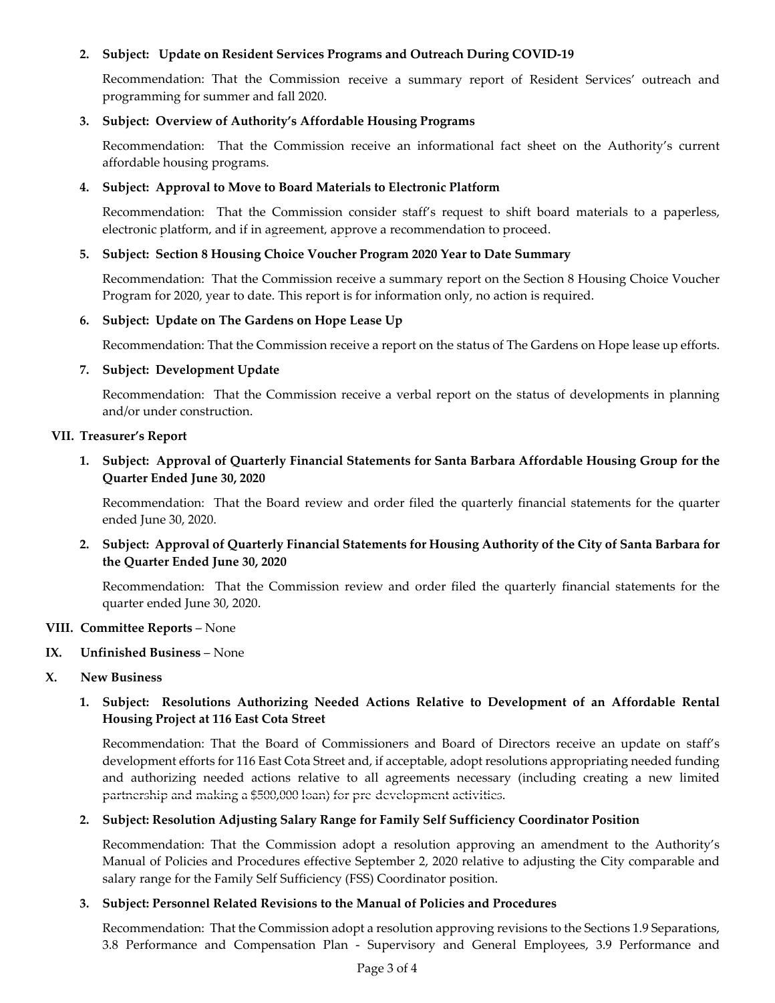## **2. Subject: Update on Resident Services Programs and Outreach During COVID‐19**

[Recommendation:](https://hacsb.org/download/meetings_2020/items/09_september/Item-VI.2.pdf) That the Commission receive a summary report of Resident Services' outreach and programming for summer and fall 2020.

## **3. Subject: Overview of Authority's Affordable Housing Programs**

[Recommendation:](https://hacsb.org/download/meetings_2020/items/09_september/Item-VI.3.pdf) That the Commission receive an informational fact sheet on the Authority's current affordable housing programs.

#### **4. Subject: Approval to Move to Board Materials to Electronic Platform**

[Recommendation:](https://hacsb.org/download/meetings_2020/items/09_september/Item-VI.4.pdf) That the Commission consider staff's request to shift board materials to a paperless, electronic platform, and if in agreement, approve a recommendation to proceed.

#### **5. Subject: Section 8 Housing Choice Voucher Program 2020 Year to Date Summary**

[Recommendation:](https://hacsb.org/download/meetings_2020/items/09_september/Item-VI.5.pdf) That the Commission receive a summary report on the Section 8 Housing Choice Voucher Program for 2020, year to date. This report is for information only, no action is required.

#### **6. Subject: Update on The Gardens on Hope Lease Up**

[Recommendation:](https://hacsb.org/download/meetings_2020/items/09_september/Item-VI.6.pdf) That the Commission receive a report on the status of The Gardens on Hope lease up efforts.

#### **7. Subject: Development Update**

Recommendation: That the Commission receive a verbal report on the status of developments in planning and/or under construction.

#### **VII. Treasurer's Report**

## **1. Subject: Approval of Quarterly Financial Statements for Santa Barbara Affordable Housing Group for the Quarter Ended June 30, 2020**

[Recommendation:](https://hacsb.org/download/meetings_2020/items/09_september/Item-VII.1.pdf) That the Board review and order filed the quarterly financial statements for the quarter ended June 30, 2020.

2. Subject: Approval of Quarterly Financial Statements for Housing Authority of the City of Santa Barbara for **the Quarter Ended June 30, 2020**

[Recommendation:](https://hacsb.org/download/meetings_2020/items/09_september/Item-VII.2.pdf) That the Commission review and order filed the quarterly financial statements for the quarter ended June 30, 2020.

#### **VIII. Committee Reports** – None

#### **IX. Unfinished Business** – None

#### **X. New Business**

## **1. Subject: Resolutions Authorizing Needed Actions Relative to Development of an Affordable Rental Housing Project at 116 East Cota Street**

[Recommendation:](https://hacsb.org/download/meetings_2020/items/09_september/Item-X.1.pdf) That the Board of Commissioners and Board of Directors receive an update on staff's development efforts for 116 East Cota Street and, if acceptable, adopt resolutions appropriating needed funding and authorizing needed actions relative to all agreements necessary (including creating a new limited partnership and making a \$500,000 loan) for pre‐development activities.

#### **2. Subject: Resolution Adjusting Salary Range for Family Self Sufficiency Coordinator Position**

[Recommendation:](https://hacsb.org/download/meetings_2020/items/09_september/Item-X.2.pdf) That the Commission adopt a resolution approving an amendment to the Authority's Manual of Policies and Procedures effective September 2, 2020 relative to adjusting the City comparable and salary range for the Family Self Sufficiency (FSS) Coordinator position.

## **3. Subject: Personnel Related Revisions to the Manual of Policies and Procedures**

[Recommendation:](https://hacsb.org/download/meetings_2020/items/09_september/Item-X.3.pdf) That the Commission adopt a resolution approving revisions to the Sections 1.9 Separations, 3.8 Performance and Compensation Plan ‐ Supervisory and General Employees, 3.9 Performance and